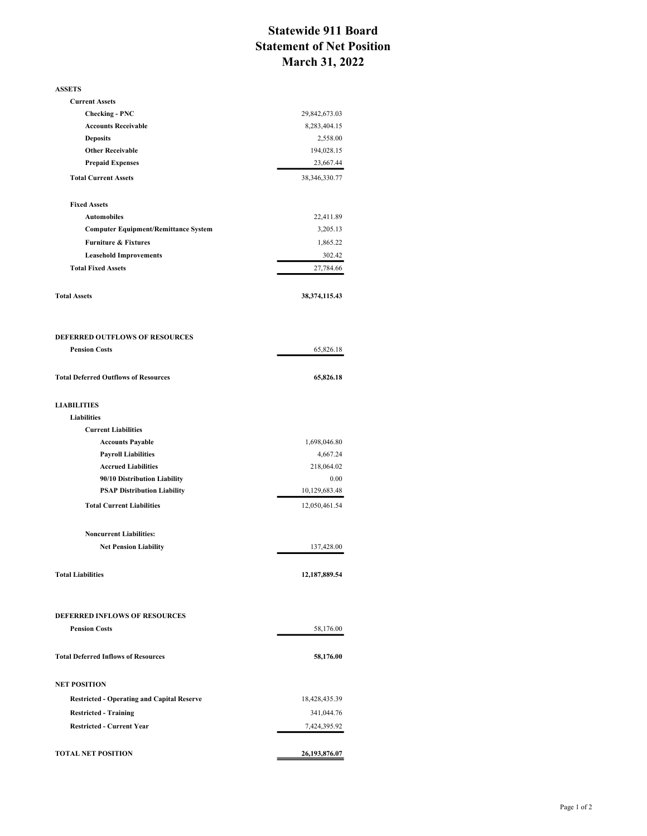## Statewide 911 Board Statement of Net Position March 31, 2022

| <b>ASSETS</b>                                                          |                                |
|------------------------------------------------------------------------|--------------------------------|
| <b>Current Assets</b>                                                  |                                |
| <b>Checking - PNC</b>                                                  | 29,842,673.03                  |
| <b>Accounts Receivable</b>                                             | 8,283,404.15                   |
| <b>Deposits</b>                                                        | 2,558.00                       |
| <b>Other Receivable</b>                                                | 194,028.15                     |
| <b>Prepaid Expenses</b>                                                | 23,667.44                      |
| <b>Total Current Assets</b>                                            | 38, 346, 330. 77               |
| <b>Fixed Assets</b>                                                    |                                |
| <b>Automobiles</b>                                                     | 22,411.89                      |
| <b>Computer Equipment/Remittance System</b>                            | 3,205.13                       |
| <b>Furniture &amp; Fixtures</b>                                        | 1,865.22                       |
| <b>Leasehold Improvements</b>                                          | 302.42                         |
| <b>Total Fixed Assets</b>                                              | 27,784.66                      |
| <b>Total Assets</b>                                                    | 38, 374, 115. 43               |
| <b>DEFERRED OUTFLOWS OF RESOURCES</b>                                  |                                |
| <b>Pension Costs</b>                                                   | 65,826.18                      |
|                                                                        |                                |
| <b>Total Deferred Outflows of Resources</b>                            | 65,826.18                      |
| <b>LIABILITIES</b>                                                     |                                |
| <b>Liabilities</b>                                                     |                                |
| <b>Current Liabilities</b>                                             |                                |
| <b>Accounts Payable</b>                                                | 1,698,046.80                   |
| <b>Payroll Liabilities</b>                                             | 4,667.24                       |
| <b>Accrued Liabilities</b>                                             | 218,064.02                     |
| 90/10 Distribution Liability                                           | 0.00                           |
| <b>PSAP Distribution Liability</b><br><b>Total Current Liabilities</b> | 10,129,683.48<br>12,050,461.54 |
|                                                                        |                                |
| <b>Noncurrent Liabilities:</b>                                         |                                |
| <b>Net Pension Liability</b>                                           | 137,428.00                     |
| <b>Total Liabilities</b>                                               | 12,187,889.54                  |
| <b>DEFERRED INFLOWS OF RESOURCES</b>                                   |                                |
| <b>Pension Costs</b>                                                   | 58,176.00                      |
|                                                                        |                                |
| <b>Total Deferred Inflows of Resources</b>                             | 58,176.00                      |
| <b>NET POSITION</b>                                                    |                                |
| <b>Restricted - Operating and Capital Reserve</b>                      | 18,428,435.39                  |
| <b>Restricted - Training</b>                                           | 341,044.76                     |
| <b>Restricted - Current Year</b>                                       | 7,424,395.92                   |
| <b>TOTAL NET POSITION</b>                                              | 26,193,876.07                  |